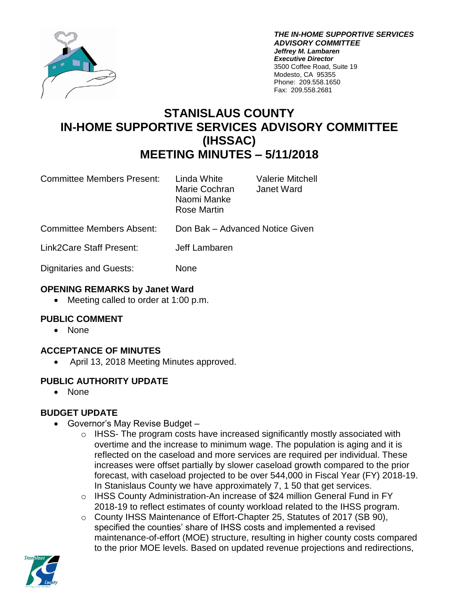

*THE IN-HOME SUPPORTIVE SERVICES ADVISORY COMMITTEE Jeffrey M. Lambaren Executive Director* 3500 Coffee Road, Suite 19 Modesto, CA 95355 Phone: 209.558.1650 Fax: 209.558.2681

# **STANISLAUS COUNTY IN-HOME SUPPORTIVE SERVICES ADVISORY COMMITTEE (IHSSAC) MEETING MINUTES – 5/11/2018**

Committee Members Present: Linda White Valerie Mitchell

Marie Cochran Janet Ward Naomi Manke Rose Martin

Committee Members Absent: Don Bak – Advanced Notice Given

Link2Care Staff Present: Jeff Lambaren

Dignitaries and Guests: None

## **OPENING REMARKS by Janet Ward**

• Meeting called to order at 1:00 p.m.

## **PUBLIC COMMENT**

• None

# **ACCEPTANCE OF MINUTES**

April 13, 2018 Meeting Minutes approved.

# **PUBLIC AUTHORITY UPDATE**

None

# **BUDGET UPDATE**

- Governor's May Revise Budget
	- $\circ$  IHSS- The program costs have increased significantly mostly associated with overtime and the increase to minimum wage. The population is aging and it is reflected on the caseload and more services are required per individual. These increases were offset partially by slower caseload growth compared to the prior forecast, with caseload projected to be over 544,000 in Fiscal Year (FY) 2018-19. In Stanislaus County we have approximately 7, 1 50 that get services.
	- o IHSS County Administration-An increase of \$24 million General Fund in FY 2018-19 to reflect estimates of county workload related to the IHSS program.
	- o County IHSS Maintenance of Effort-Chapter 25, Statutes of 2017 (SB 90), specified the counties' share of IHSS costs and implemented a revised maintenance-of-effort (MOE) structure, resulting in higher county costs compared to the prior MOE levels. Based on updated revenue projections and redirections,

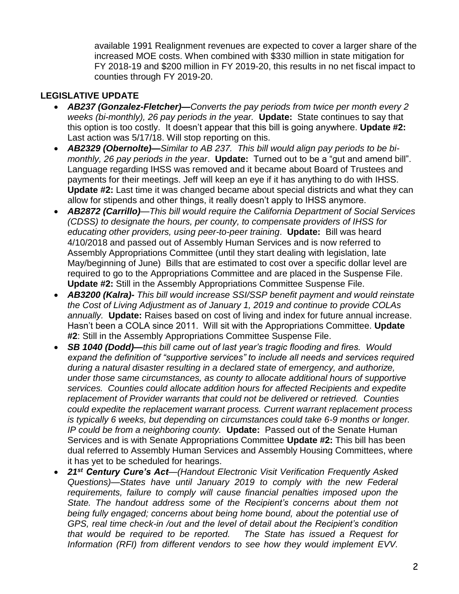available 1991 Realignment revenues are expected to cover a larger share of the increased MOE costs. When combined with \$330 million in state mitigation for FY 2018-19 and \$200 million in FY 2019-20, this results in no net fiscal impact to counties through FY 2019-20.

## **LEGISLATIVE UPDATE**

- *AB237 (Gonzalez-Fletcher)—Converts the pay periods from twice per month every 2 weeks (bi-monthly), 26 pay periods in the year.* **Update:** State continues to say that this option is too costly. It doesn't appear that this bill is going anywhere. **Update #2:** Last action was 5/17/18. Will stop reporting on this.
- *AB2329 (Obernolte)—Similar to AB 237. This bill would align pay periods to be bimonthly, 26 pay periods in the year*. **Update:** Turned out to be a "gut and amend bill". Language regarding IHSS was removed and it became about Board of Trustees and payments for their meetings. Jeff will keep an eye if it has anything to do with IHSS. **Update #2:** Last time it was changed became about special districts and what they can allow for stipends and other things, it really doesn't apply to IHSS anymore.
- *AB2872 (Carrillo)—This bill would require the California Department of Social Services (CDSS) to designate the hours, per county, to compensate providers of IHSS for educating other providers, using peer-to-peer training*. **Update:** Bill was heard 4/10/2018 and passed out of Assembly Human Services and is now referred to Assembly Appropriations Committee (until they start dealing with legislation, late May/beginning of June) Bills that are estimated to cost over a specific dollar level are required to go to the Appropriations Committee and are placed in the Suspense File. **Update #2:** Still in the Assembly Appropriations Committee Suspense File.
- *AB3200 (Kalra)- This bill would increase SSI/SSP benefit payment and would reinstate the Cost of Living Adjustment as of January 1, 2019 and continue to provide COLAs annually.* **Update:** Raises based on cost of living and index for future annual increase. Hasn't been a COLA since 2011. Will sit with the Appropriations Committee. **Update #2**: Still in the Assembly Appropriations Committee Suspense File.
- *SB 1040 (Dodd)—this bill came out of last year's tragic flooding and fires. Would expand the definition of "supportive services" to include all needs and services required during a natural disaster resulting in a declared state of emergency, and authorize, under those same circumstances, as county to allocate additional hours of supportive services. Counties could allocate addition hours for affected Recipients and expedite replacement of Provider warrants that could not be delivered or retrieved. Counties could expedite the replacement warrant process. Current warrant replacement process is typically 6 weeks, but depending on circumstances could take 6-9 months or longer. IP could be from a neighboring county.* **Update:** Passed out of the Senate Human Services and is with Senate Appropriations Committee **Update #2:** This bill has been dual referred to Assembly Human Services and Assembly Housing Committees, where it has yet to be scheduled for hearings.
- *21st Century Cure's Act—(Handout Electronic Visit Verification Frequently Asked Questions)—States have until January 2019 to comply with the new Federal requirements, failure to comply will cause financial penalties imposed upon the State. The handout address some of the Recipient's concerns about them not being fully engaged; concerns about being home bound, about the potential use of GPS, real time check-in /out and the level of detail about the Recipient's condition that would be required to be reported. The State has issued a Request for Information (RFI) from different vendors to see how they would implement EVV.*